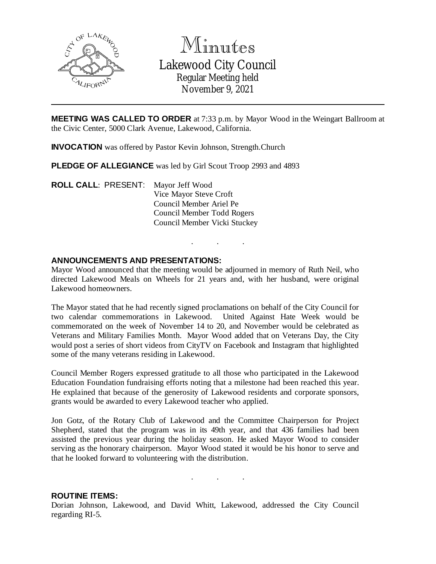

Minutes Lakewood City Council Regular Meeting held November 9, 2021

**MEETING WAS CALLED TO ORDER** at 7:33 p.m. by Mayor Wood in the Weingart Ballroom at the Civic Center, 5000 Clark Avenue, Lakewood, California.

**INVOCATION** was offered by Pastor Kevin Johnson, Strength.Church

**PLEDGE OF ALLEGIANCE** was led by Girl Scout Troop 2993 and 4893

**ROLL CALL**: PRESENT: Mayor Jeff Wood Vice Mayor Steve Croft Council Member Ariel Pe Council Member Todd Rogers Council Member Vicki Stuckey

### **ANNOUNCEMENTS AND PRESENTATIONS:**

Mayor Wood announced that the meeting would be adjourned in memory of Ruth Neil, who directed Lakewood Meals on Wheels for 21 years and, with her husband, were original Lakewood homeowners.

. . .

The Mayor stated that he had recently signed proclamations on behalf of the City Council for two calendar commemorations in Lakewood. United Against Hate Week would be commemorated on the week of November 14 to 20, and November would be celebrated as Veterans and Military Families Month. Mayor Wood added that on Veterans Day, the City would post a series of short videos from CityTV on Facebook and Instagram that highlighted some of the many veterans residing in Lakewood.

Council Member Rogers expressed gratitude to all those who participated in the Lakewood Education Foundation fundraising efforts noting that a milestone had been reached this year. He explained that because of the generosity of Lakewood residents and corporate sponsors, grants would be awarded to every Lakewood teacher who applied.

Jon Gotz, of the Rotary Club of Lakewood and the Committee Chairperson for Project Shepherd, stated that the program was in its 49th year, and that 436 families had been assisted the previous year during the holiday season. He asked Mayor Wood to consider serving as the honorary chairperson. Mayor Wood stated it would be his honor to serve and that he looked forward to volunteering with the distribution.

. . .

#### **ROUTINE ITEMS:**

Dorian Johnson, Lakewood, and David Whitt, Lakewood, addressed the City Council regarding RI-5.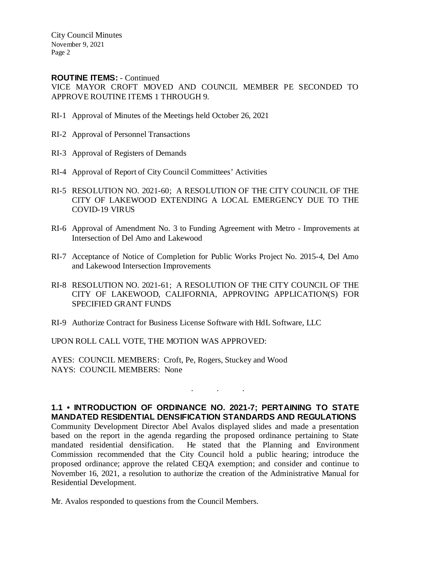City Council Minutes November 9, 2021 Page 2

#### **ROUTINE ITEMS:** - Continued

VICE MAYOR CROFT MOVED AND COUNCIL MEMBER PE SECONDED TO APPROVE ROUTINE ITEMS 1 THROUGH 9.

- RI-1 Approval of Minutes of the Meetings held October 26, 2021
- RI-2 Approval of Personnel Transactions
- RI-3 Approval of Registers of Demands
- RI-4 Approval of Report of City Council Committees' Activities
- RI-5 RESOLUTION NO. 2021-60; A RESOLUTION OF THE CITY COUNCIL OF THE CITY OF LAKEWOOD EXTENDING A LOCAL EMERGENCY DUE TO THE COVID-19 VIRUS
- RI-6 Approval of Amendment No. 3 to Funding Agreement with Metro Improvements at Intersection of Del Amo and Lakewood
- RI-7 Acceptance of Notice of Completion for Public Works Project No. 2015-4, Del Amo and Lakewood Intersection Improvements
- RI-8 RESOLUTION NO. 2021-61; A RESOLUTION OF THE CITY COUNCIL OF THE CITY OF LAKEWOOD, CALIFORNIA, APPROVING APPLICATION(S) FOR SPECIFIED GRANT FUNDS
- RI-9 Authorize Contract for Business License Software with HdL Software, LLC

UPON ROLL CALL VOTE, THE MOTION WAS APPROVED:

AYES: COUNCIL MEMBERS: Croft, Pe, Rogers, Stuckey and Wood NAYS: COUNCIL MEMBERS: None

**1.1 • INTRODUCTION OF ORDINANCE NO. 2021-7; PERTAINING TO STATE MANDATED RESIDENTIAL DENSIFICATION STANDARDS AND REGULATIONS** Community Development Director Abel Avalos displayed slides and made a presentation based on the report in the agenda regarding the proposed ordinance pertaining to State mandated residential densification. He stated that the Planning and Environment Commission recommended that the City Council hold a public hearing; introduce the proposed ordinance; approve the related CEQA exemption; and consider and continue to November 16, 2021, a resolution to authorize the creation of the Administrative Manual for Residential Development.

. . .

Mr. Avalos responded to questions from the Council Members.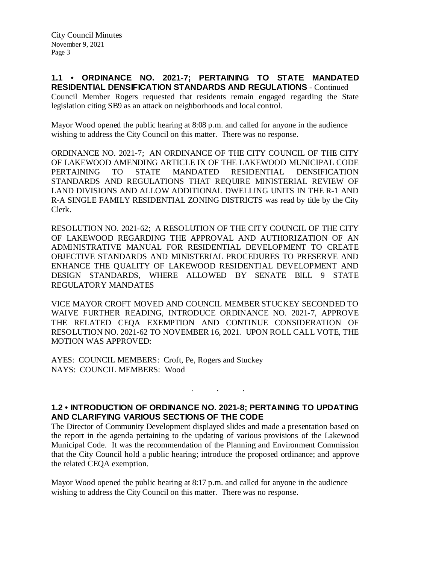**1.1 • ORDINANCE NO. 2021-7; PERTAINING TO STATE MANDATED RESIDENTIAL DENSIFICATION STANDARDS AND REGULATIONS** - Continued Council Member Rogers requested that residents remain engaged regarding the State legislation citing SB9 as an attack on neighborhoods and local control.

Mayor Wood opened the public hearing at 8:08 p.m. and called for anyone in the audience wishing to address the City Council on this matter. There was no response.

ORDINANCE NO. 2021-7; AN ORDINANCE OF THE CITY COUNCIL OF THE CITY OF LAKEWOOD AMENDING ARTICLE IX OF THE LAKEWOOD MUNICIPAL CODE PERTAINING TO STATE MANDATED RESIDENTIAL DENSIFICATION STANDARDS AND REGULATIONS THAT REQUIRE MINISTERIAL REVIEW OF LAND DIVISIONS AND ALLOW ADDITIONAL DWELLING UNITS IN THE R-1 AND R-A SINGLE FAMILY RESIDENTIAL ZONING DISTRICTS was read by title by the City Clerk.

RESOLUTION NO. 2021-62; A RESOLUTION OF THE CITY COUNCIL OF THE CITY OF LAKEWOOD REGARDING THE APPROVAL AND AUTHORIZATION OF AN ADMINISTRATIVE MANUAL FOR RESIDENTIAL DEVELOPMENT TO CREATE OBJECTIVE STANDARDS AND MINISTERIAL PROCEDURES TO PRESERVE AND ENHANCE THE QUALITY OF LAKEWOOD RESIDENTIAL DEVELOPMENT AND DESIGN STANDARDS, WHERE ALLOWED BY SENATE BILL 9 STATE REGULATORY MANDATES

VICE MAYOR CROFT MOVED AND COUNCIL MEMBER STUCKEY SECONDED TO WAIVE FURTHER READING, INTRODUCE ORDINANCE NO. 2021-7, APPROVE THE RELATED CEQA EXEMPTION AND CONTINUE CONSIDERATION OF RESOLUTION NO. 2021-62 TO NOVEMBER 16, 2021. UPON ROLL CALL VOTE, THE MOTION WAS APPROVED:

AYES: COUNCIL MEMBERS: Croft, Pe, Rogers and Stuckey NAYS: COUNCIL MEMBERS: Wood

# **1.2 • INTRODUCTION OF ORDINANCE NO. 2021-8; PERTAINING TO UPDATING AND CLARIFYING VARIOUS SECTIONS OF THE CODE**

. . .

The Director of Community Development displayed slides and made a presentation based on the report in the agenda pertaining to the updating of various provisions of the Lakewood Municipal Code. It was the recommendation of the Planning and Environment Commission that the City Council hold a public hearing; introduce the proposed ordinance; and approve the related CEQA exemption.

Mayor Wood opened the public hearing at 8:17 p.m. and called for anyone in the audience wishing to address the City Council on this matter. There was no response.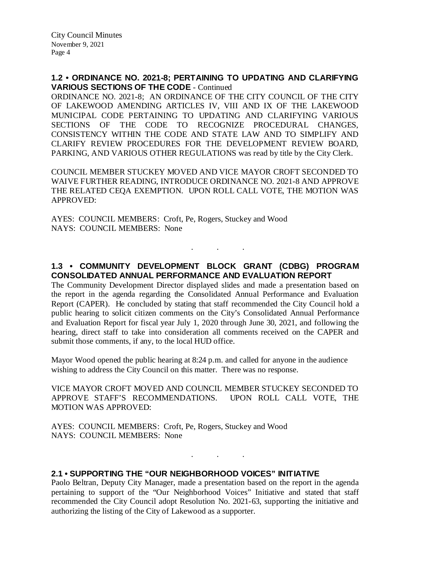### **1.2 • ORDINANCE NO. 2021-8; PERTAINING TO UPDATING AND CLARIFYING VARIOUS SECTIONS OF THE CODE** - Continued

ORDINANCE NO. 2021-8; AN ORDINANCE OF THE CITY COUNCIL OF THE CITY OF LAKEWOOD AMENDING ARTICLES IV, VIII AND IX OF THE LAKEWOOD MUNICIPAL CODE PERTAINING TO UPDATING AND CLARIFYING VARIOUS SECTIONS OF THE CODE TO RECOGNIZE PROCEDURAL CHANGES, CONSISTENCY WITHIN THE CODE AND STATE LAW AND TO SIMPLIFY AND CLARIFY REVIEW PROCEDURES FOR THE DEVELOPMENT REVIEW BOARD, PARKING, AND VARIOUS OTHER REGULATIONS was read by title by the City Clerk.

COUNCIL MEMBER STUCKEY MOVED AND VICE MAYOR CROFT SECONDED TO WAIVE FURTHER READING, INTRODUCE ORDINANCE NO. 2021-8 AND APPROVE THE RELATED CEQA EXEMPTION. UPON ROLL CALL VOTE, THE MOTION WAS APPROVED:

AYES: COUNCIL MEMBERS: Croft, Pe, Rogers, Stuckey and Wood NAYS: COUNCIL MEMBERS: None

# **1.3 • COMMUNITY DEVELOPMENT BLOCK GRANT (CDBG) PROGRAM CONSOLIDATED ANNUAL PERFORMANCE AND EVALUATION REPORT**

. . .

The Community Development Director displayed slides and made a presentation based on the report in the agenda regarding the Consolidated Annual Performance and Evaluation Report (CAPER). He concluded by stating that staff recommended the City Council hold a public hearing to solicit citizen comments on the City's Consolidated Annual Performance and Evaluation Report for fiscal year July 1, 2020 through June 30, 2021, and following the hearing, direct staff to take into consideration all comments received on the CAPER and submit those comments, if any, to the local HUD office.

Mayor Wood opened the public hearing at 8:24 p.m. and called for anyone in the audience wishing to address the City Council on this matter. There was no response.

VICE MAYOR CROFT MOVED AND COUNCIL MEMBER STUCKEY SECONDED TO APPROVE STAFF'S RECOMMENDATIONS. UPON ROLL CALL VOTE, THE MOTION WAS APPROVED:

AYES: COUNCIL MEMBERS: Croft, Pe, Rogers, Stuckey and Wood NAYS: COUNCIL MEMBERS: None

. . .

## **2.1 • SUPPORTING THE "OUR NEIGHBORHOOD VOICES" INITIATIVE**

Paolo Beltran, Deputy City Manager, made a presentation based on the report in the agenda pertaining to support of the "Our Neighborhood Voices" Initiative and stated that staff recommended the City Council adopt Resolution No. 2021-63, supporting the initiative and authorizing the listing of the City of Lakewood as a supporter.